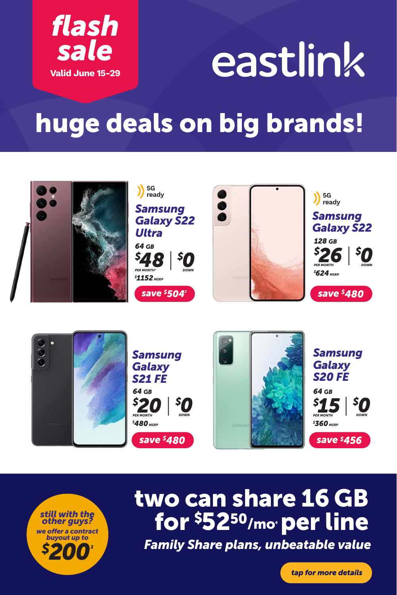

# eastlink

## huge deals on big brands!







# *5200<sup>3</sup> Family Share plans, unbeatable value* for \$52<sup>50</sup>/mo<sub>°</sub> per line

*tap for more details*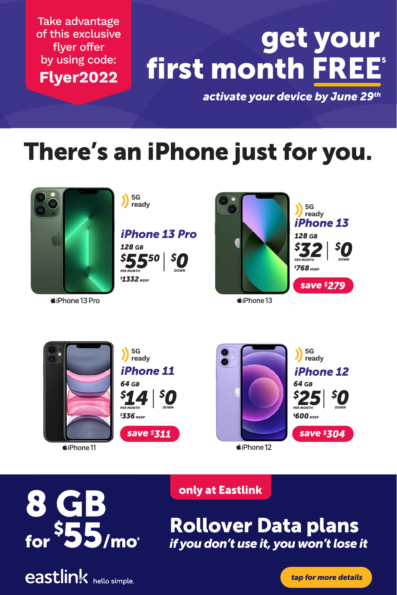Take advantage of this exclusive flyer offer by using code: **Flyer2022**

# first month FREE<sup>®</sup> get your

*activate your device by June 29th*

### There's an iPhone just for you.



 $\bullet$ iPhone 13 Pro

**5G** 

*iPhone 13 Pro 128 GB*





*iPhone 13 128 GB \$ 768 MSRP \$ 32*| *PER MONTH \$ 0 DOWN save \$279* **ready**

 $\triangle$ iPhone 13



*«***iPhone11** 



*iPhone 11 iPhone 12 save \$311 save \$304*  $\triangle$ iPhone 12



8 GB for  ${}^{\textbf{\textstyle{\tiny{5}}}}$ 55/mo $^{\circ}$ 



#### only at Eastlink

**2 SEE.** Rollover Data plans with new phones on Rollover Data *if you don't use it, you won't lose it*

*tap for more details*